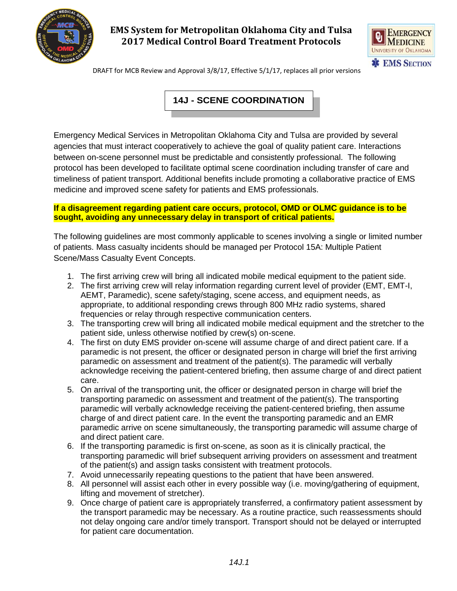

# **EMS System for Metropolitan Oklahoma City and Tulsa 2017 Medical Control Board Treatment Protocols**



DRAFT for MCB Review and Approval 3/8/17, Effective 5/1/17, replaces all prior versions

# **14J - SCENE COORDINATION**

Emergency Medical Services in Metropolitan Oklahoma City and Tulsa are provided by several agencies that must interact cooperatively to achieve the goal of quality patient care. Interactions between on-scene personnel must be predictable and consistently professional. The following protocol has been developed to facilitate optimal scene coordination including transfer of care and timeliness of patient transport. Additional benefits include promoting a collaborative practice of EMS medicine and improved scene safety for patients and EMS professionals.

#### **If a disagreement regarding patient care occurs, protocol, OMD or OLMC guidance is to be sought, avoiding any unnecessary delay in transport of critical patients.**

The following guidelines are most commonly applicable to scenes involving a single or limited number of patients. Mass casualty incidents should be managed per Protocol 15A: Multiple Patient Scene/Mass Casualty Event Concepts.

- 1. The first arriving crew will bring all indicated mobile medical equipment to the patient side.
- 2. The first arriving crew will relay information regarding current level of provider (EMT, EMT-I, AEMT, Paramedic), scene safety/staging, scene access, and equipment needs, as appropriate, to additional responding crews through 800 MHz radio systems, shared frequencies or relay through respective communication centers.
- 3. The transporting crew will bring all indicated mobile medical equipment and the stretcher to the patient side, unless otherwise notified by crew(s) on-scene.
- 4. The first on duty EMS provider on-scene will assume charge of and direct patient care. If a paramedic is not present, the officer or designated person in charge will brief the first arriving paramedic on assessment and treatment of the patient(s). The paramedic will verbally acknowledge receiving the patient-centered briefing, then assume charge of and direct patient care.
- 5. On arrival of the transporting unit, the officer or designated person in charge will brief the transporting paramedic on assessment and treatment of the patient(s). The transporting paramedic will verbally acknowledge receiving the patient-centered briefing, then assume charge of and direct patient care. In the event the transporting paramedic and an EMR paramedic arrive on scene simultaneously, the transporting paramedic will assume charge of and direct patient care.
- 6. If the transporting paramedic is first on-scene, as soon as it is clinically practical, the transporting paramedic will brief subsequent arriving providers on assessment and treatment of the patient(s) and assign tasks consistent with treatment protocols.
- 7. Avoid unnecessarily repeating questions to the patient that have been answered.
- 8. All personnel will assist each other in every possible way (i.e. moving/gathering of equipment, lifting and movement of stretcher).
- 9. Once charge of patient care is appropriately transferred, a confirmatory patient assessment by the transport paramedic may be necessary. As a routine practice, such reassessments should not delay ongoing care and/or timely transport. Transport should not be delayed or interrupted for patient care documentation.